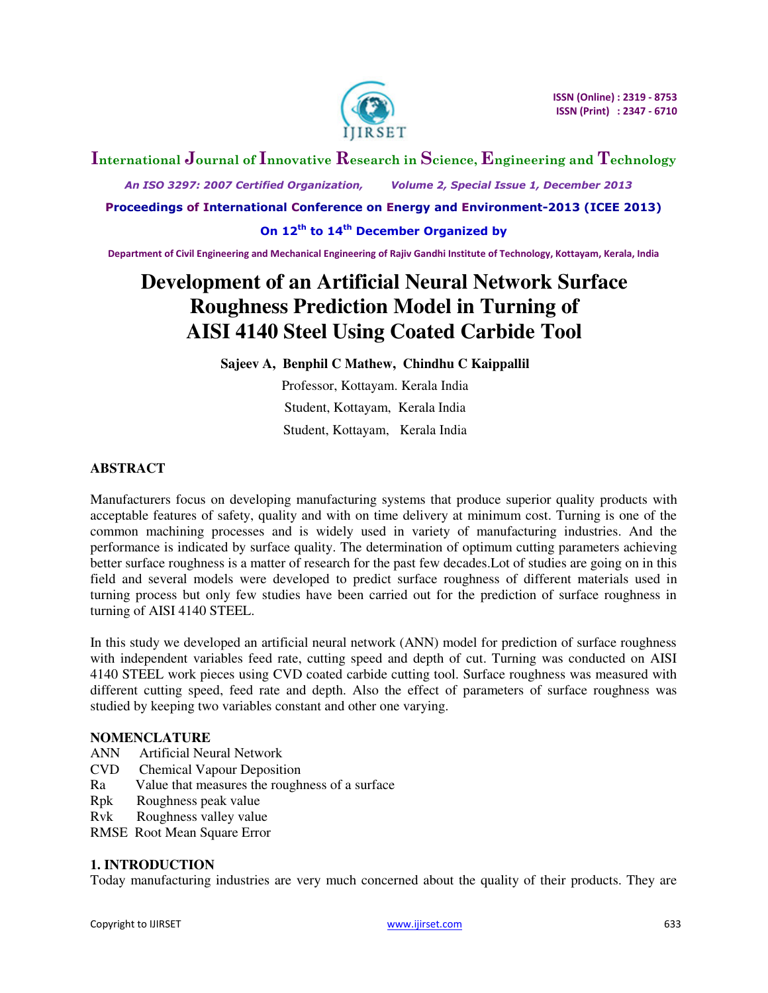

# **International Journal of Innovative Research in Science, Engineering and Technology**

 *An ISO 3297: 2007 Certified Organization, Volume 2, Special Issue 1, December 2013* 

**Proceedings of International Conference on Energy and Environment-2013 (ICEE 2013)** 

**On 12th to 14th December Organized by** 

**Department of Civil Engineering and Mechanical Engineering of Rajiv Gandhi Institute of Technology, Kottayam, Kerala, India** 

# **Development of an Artificial Neural Network Surface Roughness Prediction Model in Turning of AISI 4140 Steel Using Coated Carbide Tool**

**Sajeev A, Benphil C Mathew, Chindhu C Kaippallil**

Professor, Kottayam. Kerala India Student, Kottayam, Kerala India Student, Kottayam, Kerala India

## **ABSTRACT**

Manufacturers focus on developing manufacturing systems that produce superior quality products with acceptable features of safety, quality and with on time delivery at minimum cost. Turning is one of the common machining processes and is widely used in variety of manufacturing industries. And the performance is indicated by surface quality. The determination of optimum cutting parameters achieving better surface roughness is a matter of research for the past few decades.Lot of studies are going on in this field and several models were developed to predict surface roughness of different materials used in turning process but only few studies have been carried out for the prediction of surface roughness in turning of AISI 4140 STEEL.

In this study we developed an artificial neural network (ANN) model for prediction of surface roughness with independent variables feed rate, cutting speed and depth of cut. Turning was conducted on AISI 4140 STEEL work pieces using CVD coated carbide cutting tool. Surface roughness was measured with different cutting speed, feed rate and depth. Also the effect of parameters of surface roughness was studied by keeping two variables constant and other one varying.

### **NOMENCLATURE**

- ANN Artificial Neural Network
- CVD Chemical Vapour Deposition
- Ra Value that measures the roughness of a surface
- Rpk Roughness peak value
- Rvk Roughness valley value
- RMSE Root Mean Square Error

### **1. INTRODUCTION**

Today manufacturing industries are very much concerned about the quality of their products. They are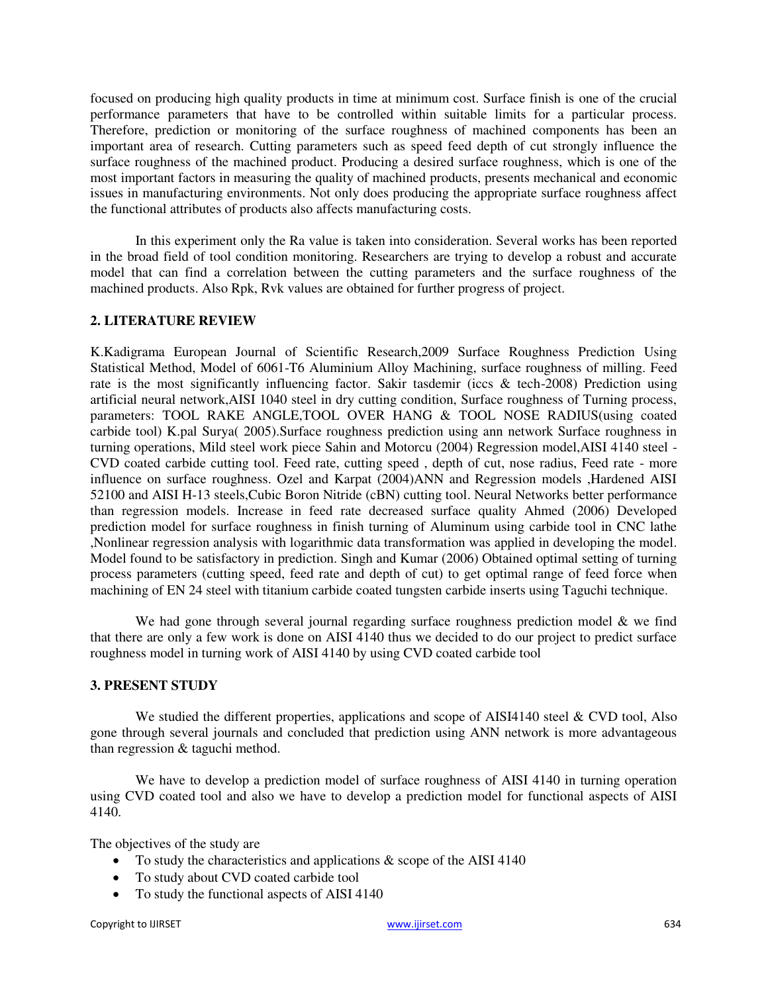focused on producing high quality products in time at minimum cost. Surface finish is one of the crucial performance parameters that have to be controlled within suitable limits for a particular process. Therefore, prediction or monitoring of the surface roughness of machined components has been an important area of research. Cutting parameters such as speed feed depth of cut strongly influence the surface roughness of the machined product. Producing a desired surface roughness, which is one of the most important factors in measuring the quality of machined products, presents mechanical and economic issues in manufacturing environments. Not only does producing the appropriate surface roughness affect the functional attributes of products also affects manufacturing costs.

In this experiment only the Ra value is taken into consideration. Several works has been reported in the broad field of tool condition monitoring. Researchers are trying to develop a robust and accurate model that can find a correlation between the cutting parameters and the surface roughness of the machined products. Also Rpk, Rvk values are obtained for further progress of project.

## **2. LITERATURE REVIEW**

K.Kadigrama European Journal of Scientific Research,2009 Surface Roughness Prediction Using Statistical Method, Model of 6061-T6 Aluminium Alloy Machining, surface roughness of milling. Feed rate is the most significantly influencing factor. Sakir tasdemir (iccs & tech-2008) Prediction using artificial neural network,AISI 1040 steel in dry cutting condition, Surface roughness of Turning process, parameters: TOOL RAKE ANGLE,TOOL OVER HANG & TOOL NOSE RADIUS(using coated carbide tool) K.pal Surya( 2005).Surface roughness prediction using ann network Surface roughness in turning operations, Mild steel work piece Sahin and Motorcu (2004) Regression model,AISI 4140 steel - CVD coated carbide cutting tool. Feed rate, cutting speed , depth of cut, nose radius, Feed rate - more influence on surface roughness. Ozel and Karpat (2004)ANN and Regression models ,Hardened AISI 52100 and AISI H-13 steels,Cubic Boron Nitride (cBN) cutting tool. Neural Networks better performance than regression models. Increase in feed rate decreased surface quality Ahmed (2006) Developed prediction model for surface roughness in finish turning of Aluminum using carbide tool in CNC lathe ,Nonlinear regression analysis with logarithmic data transformation was applied in developing the model. Model found to be satisfactory in prediction. Singh and Kumar (2006) Obtained optimal setting of turning process parameters (cutting speed, feed rate and depth of cut) to get optimal range of feed force when machining of EN 24 steel with titanium carbide coated tungsten carbide inserts using Taguchi technique.

We had gone through several journal regarding surface roughness prediction model  $\&$  we find that there are only a few work is done on AISI 4140 thus we decided to do our project to predict surface roughness model in turning work of AISI 4140 by using CVD coated carbide tool

### **3. PRESENT STUDY**

We studied the different properties, applications and scope of AISI4140 steel & CVD tool, Also gone through several journals and concluded that prediction using ANN network is more advantageous than regression & taguchi method.

We have to develop a prediction model of surface roughness of AISI 4140 in turning operation using CVD coated tool and also we have to develop a prediction model for functional aspects of AISI 4140.

The objectives of the study are

- To study the characteristics and applications & scope of the AISI 4140
- To study about CVD coated carbide tool
- To study the functional aspects of AISI 4140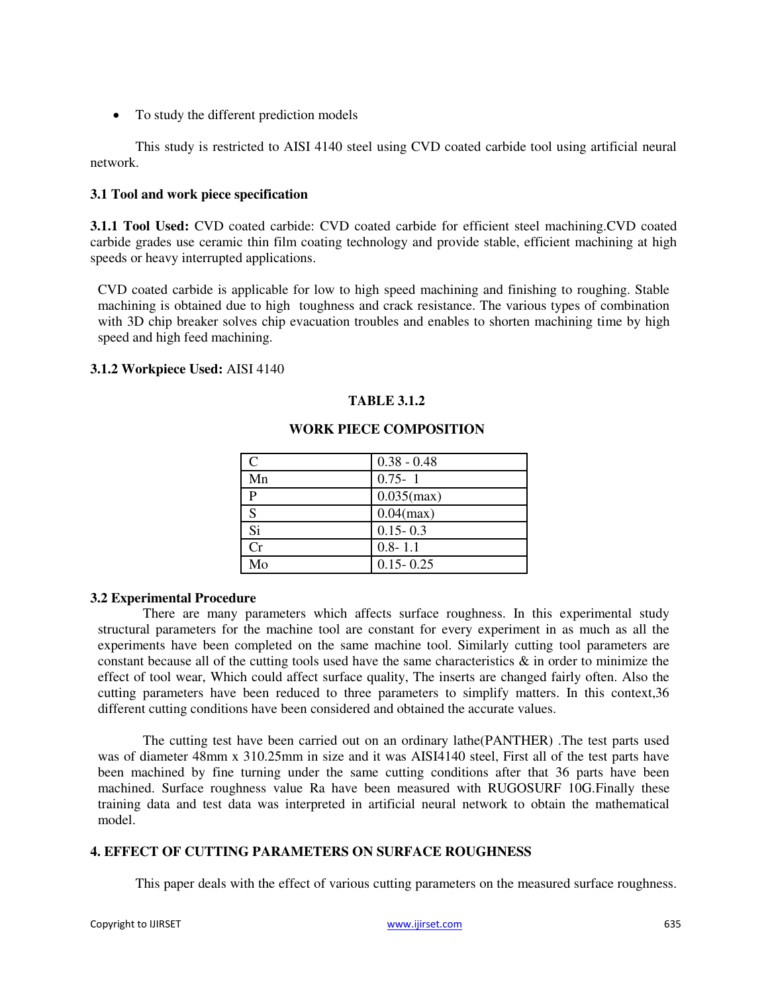To study the different prediction models

This study is restricted to AISI 4140 steel using CVD coated carbide tool using artificial neural network.

#### **3.1 Tool and work piece specification**

**3.1.1 Tool Used:** CVD coated carbide: CVD coated carbide for efficient steel machining.CVD coated carbide grades use ceramic thin film coating technology and provide stable, efficient machining at high speeds or heavy interrupted applications.

CVD coated carbide is applicable for low to high speed machining and finishing to roughing. Stable machining is obtained due to high toughness and crack resistance. The various types of combination with 3D chip breaker solves chip evacuation troubles and enables to shorten machining time by high speed and high feed machining.

#### **3.1.2 Workpiece Used:** AISI 4140

### **TABLE 3.1.2**

|    | $0.38 - 0.48$ |
|----|---------------|
| Mn | $0.75 - 1$    |
|    | $0.035$ (max) |
| S  | $0.04$ (max)  |
| Si | $0.15 - 0.3$  |
| Cr | $0.8 - 1.1$   |
| Mo | $0.15 - 0.25$ |

### **WORK PIECE COMPOSITION**

#### **3.2 Experimental Procedure**

There are many parameters which affects surface roughness. In this experimental study structural parameters for the machine tool are constant for every experiment in as much as all the experiments have been completed on the same machine tool. Similarly cutting tool parameters are constant because all of the cutting tools used have the same characteristics  $\&$  in order to minimize the effect of tool wear, Which could affect surface quality, The inserts are changed fairly often. Also the cutting parameters have been reduced to three parameters to simplify matters. In this context,36 different cutting conditions have been considered and obtained the accurate values.

The cutting test have been carried out on an ordinary lathe(PANTHER) .The test parts used was of diameter 48mm x 310.25mm in size and it was AISI4140 steel, First all of the test parts have been machined by fine turning under the same cutting conditions after that 36 parts have been machined. Surface roughness value Ra have been measured with RUGOSURF 10G.Finally these training data and test data was interpreted in artificial neural network to obtain the mathematical model.

#### **4. EFFECT OF CUTTING PARAMETERS ON SURFACE ROUGHNESS**

This paper deals with the effect of various cutting parameters on the measured surface roughness.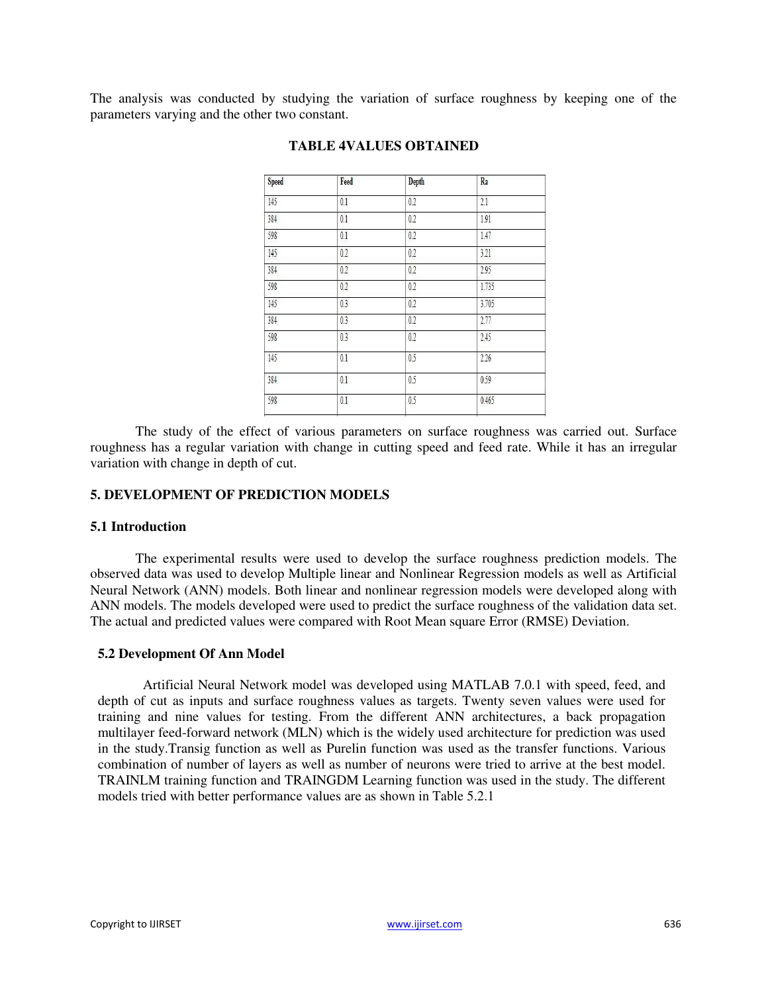The analysis was conducted by studying the variation of surface roughness by keeping one of the parameters varying and the other two constant.

| <b>Speed</b> | Feed    | Depth | Ra    |  |
|--------------|---------|-------|-------|--|
| 145          | 0.1     | 0.2   | 2.1   |  |
| 384          | 0.1     | 0.2   | 1.91  |  |
| 598          | 0.1     | 0.2   | 1.47  |  |
| 145          | 0.2     | 0.2   | 3.21  |  |
| 384          | $0.2\,$ | 0.2   | 2.95  |  |
| 598          | 0.2     | 0.2   | 1.735 |  |
| 145          | 0.3     | 0.2   | 3.705 |  |
| 384          | 0.3     | 0.2   | 2.77  |  |
| 598          | 0.3     | 0.2   | 2.45  |  |
| 145          | 0.1     | 0.5   | 2.26  |  |
| 384          | 0.1     | 0.5   | 0.59  |  |
| 598          | 0.1     | 0.5   | 0.465 |  |
|              |         |       |       |  |

#### **TABLE 4VALUES OBTAINED**

The study of the effect of various parameters on surface roughness was carried out. Surface roughness has a regular variation with change in cutting speed and feed rate. While it has an irregular variation with change in depth of cut.

#### **5. DEVELOPMENT OF PREDICTION MODELS**

#### **5.1 Introduction**

The experimental results were used to develop the surface roughness prediction models. The observed data was used to develop Multiple linear and Nonlinear Regression models as well as Artificial Neural Network (ANN) models. Both linear and nonlinear regression models were developed along with ANN models. The models developed were used to predict the surface roughness of the validation data set. The actual and predicted values were compared with Root Mean square Error (RMSE) Deviation.

#### **5.2 Development Of Ann Model**

Artificial Neural Network model was developed using MATLAB 7.0.1 with speed, feed, and depth of cut as inputs and surface roughness values as targets. Twenty seven values were used for training and nine values for testing. From the different ANN architectures, a back propagation multilayer feed-forward network (MLN) which is the widely used architecture for prediction was used in the study.Transig function as well as Purelin function was used as the transfer functions. Various combination of number of layers as well as number of neurons were tried to arrive at the best model. TRAINLM training function and TRAINGDM Learning function was used in the study. The different models tried with better performance values are as shown in Table 5.2.1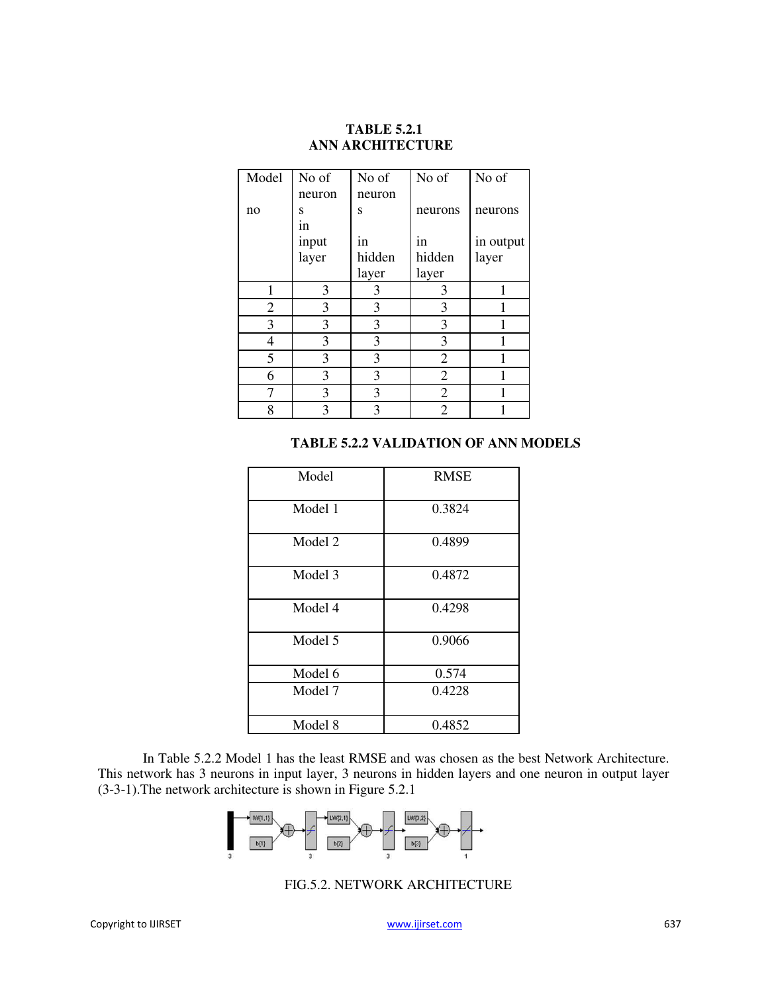# **TABLE 5.2.1 ANN ARCHITECTURE**

| Model | No of  | No of  | No of          | No of     |
|-------|--------|--------|----------------|-----------|
|       | neuron | neuron |                |           |
| no    | S      | S      | neurons        | neurons   |
|       | in     |        |                |           |
|       | input  | in     | in             | in output |
|       | layer  | hidden | hidden         | layer     |
|       |        | layer  | layer          |           |
| 1     | 3      | 3      | 3              | 1         |
| 2     | 3      | 3      | 3              |           |
| 3     | 3      | 3      | 3              |           |
| 4     | 3      | 3      | 3              | 1         |
| 5     | 3      | 3      | $\overline{2}$ | 1         |
| 6     | 3      | 3      | 2              | 1         |
| 7     | 3      | 3      | $\overline{2}$ |           |
| 8     | 3      | 3      | 2              |           |

#### **TABLE 5.2.2 VALIDATION OF ANN MODELS**

| Model   | <b>RMSE</b> |
|---------|-------------|
| Model 1 | 0.3824      |
| Model 2 | 0.4899      |
| Model 3 | 0.4872      |
| Model 4 | 0.4298      |
| Model 5 | 0.9066      |
| Model 6 | 0.574       |
| Model 7 | 0.4228      |
| Model 8 | 0.4852      |

In Table 5.2.2 Model 1 has the least RMSE and was chosen as the best Network Architecture. This network has 3 neurons in input layer, 3 neurons in hidden layers and one neuron in output layer (3-3-1).The network architecture is shown in Figure 5.2.1



#### FIG.5.2. NETWORK ARCHITECTURE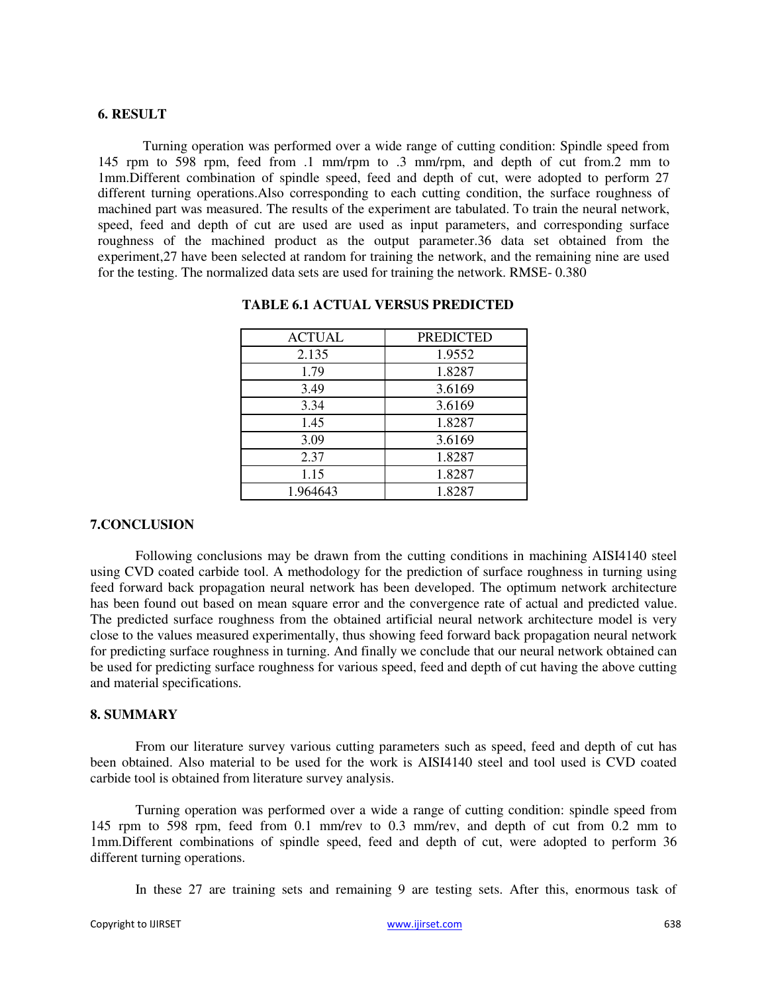#### **6. RESULT**

Turning operation was performed over a wide range of cutting condition: Spindle speed from 145 rpm to 598 rpm, feed from .1 mm/rpm to .3 mm/rpm, and depth of cut from.2 mm to 1mm.Different combination of spindle speed, feed and depth of cut, were adopted to perform 27 different turning operations.Also corresponding to each cutting condition, the surface roughness of machined part was measured. The results of the experiment are tabulated. To train the neural network, speed, feed and depth of cut are used are used as input parameters, and corresponding surface roughness of the machined product as the output parameter.36 data set obtained from the experiment,27 have been selected at random for training the network, and the remaining nine are used for the testing. The normalized data sets are used for training the network. RMSE- 0.380

| <b>ACTUAL</b> | <b>PREDICTED</b> |
|---------------|------------------|
| 2.135         | 1.9552           |
| 1.79          | 1.8287           |
| 3.49          | 3.6169           |
| 3.34          | 3.6169           |
| 1.45          | 1.8287           |
| 3.09          | 3.6169           |
| 2.37          | 1.8287           |
| 1.15          | 1.8287           |
| 1.964643      | 1.8287           |

#### **TABLE 6.1 ACTUAL VERSUS PREDICTED**

#### **7.CONCLUSION**

Following conclusions may be drawn from the cutting conditions in machining AISI4140 steel using CVD coated carbide tool. A methodology for the prediction of surface roughness in turning using feed forward back propagation neural network has been developed. The optimum network architecture has been found out based on mean square error and the convergence rate of actual and predicted value. The predicted surface roughness from the obtained artificial neural network architecture model is very close to the values measured experimentally, thus showing feed forward back propagation neural network for predicting surface roughness in turning. And finally we conclude that our neural network obtained can be used for predicting surface roughness for various speed, feed and depth of cut having the above cutting and material specifications.

#### **8. SUMMARY**

From our literature survey various cutting parameters such as speed, feed and depth of cut has been obtained. Also material to be used for the work is AISI4140 steel and tool used is CVD coated carbide tool is obtained from literature survey analysis.

Turning operation was performed over a wide a range of cutting condition: spindle speed from 145 rpm to 598 rpm, feed from 0.1 mm/rev to 0.3 mm/rev, and depth of cut from 0.2 mm to 1mm.Different combinations of spindle speed, feed and depth of cut, were adopted to perform 36 different turning operations.

In these 27 are training sets and remaining 9 are testing sets. After this, enormous task of